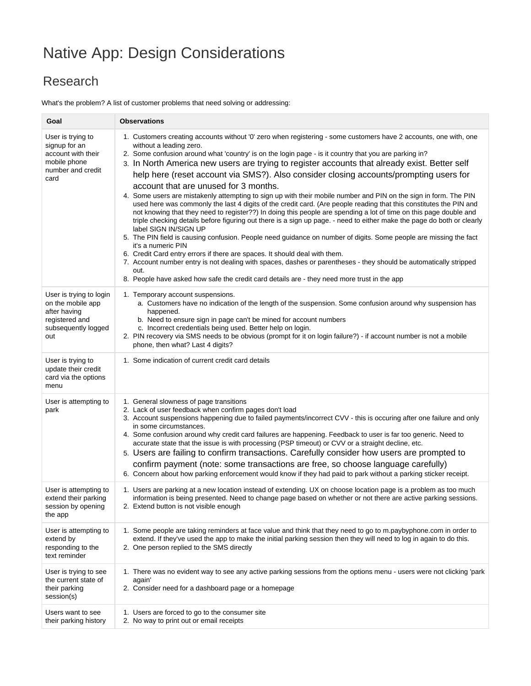## Native App: Design Considerations

## Research

What's the problem? A list of customer problems that need solving or addressing:

| Goal                                                                                                         | <b>Observations</b>                                                                                                                                                                                                                                                                                                                                                                                                                                                                                                                                                                                                                                                                                                                                                                                                                                                                                                                                                                                                                                                                                                                                                                                                                                                                                                                                                                                                                                             |
|--------------------------------------------------------------------------------------------------------------|-----------------------------------------------------------------------------------------------------------------------------------------------------------------------------------------------------------------------------------------------------------------------------------------------------------------------------------------------------------------------------------------------------------------------------------------------------------------------------------------------------------------------------------------------------------------------------------------------------------------------------------------------------------------------------------------------------------------------------------------------------------------------------------------------------------------------------------------------------------------------------------------------------------------------------------------------------------------------------------------------------------------------------------------------------------------------------------------------------------------------------------------------------------------------------------------------------------------------------------------------------------------------------------------------------------------------------------------------------------------------------------------------------------------------------------------------------------------|
| User is trying to<br>signup for an<br>account with their<br>mobile phone<br>number and credit<br>card        | 1. Customers creating accounts without '0' zero when registering - some customers have 2 accounts, one with, one<br>without a leading zero.<br>2. Some confusion around what 'country' is on the login page - is it country that you are parking in?<br>3. In North America new users are trying to register accounts that already exist. Better self<br>help here (reset account via SMS?). Also consider closing accounts/prompting users for<br>account that are unused for 3 months.<br>4. Some users are mistakenly attempting to sign up with their mobile number and PIN on the sign in form. The PIN<br>used here was commonly the last 4 digits of the credit card. (Are people reading that this constitutes the PIN and<br>not knowing that they need to register??) In doing this people are spending a lot of time on this page double and<br>triple checking details before figuring out there is a sign up page. - need to either make the page do both or clearly<br>label SIGN IN/SIGN UP<br>5. The PIN field is causing confusion. People need guidance on number of digits. Some people are missing the fact<br>it's a numeric PIN<br>6. Credit Card entry errors if there are spaces. It should deal with them.<br>7. Account number entry is not dealing with spaces, dashes or parentheses - they should be automatically stripped<br>out.<br>8. People have asked how safe the credit card details are - they need more trust in the app |
| User is trying to login<br>on the mobile app<br>after having<br>registered and<br>subsequently logged<br>out | 1. Temporary account suspensions.<br>a. Customers have no indication of the length of the suspension. Some confusion around why suspension has<br>happened.<br>b. Need to ensure sign in page can't be mined for account numbers<br>c. Incorrect credentials being used. Better help on login.<br>2. PIN recovery via SMS needs to be obvious (prompt for it on login failure?) - if account number is not a mobile<br>phone, then what? Last 4 digits?                                                                                                                                                                                                                                                                                                                                                                                                                                                                                                                                                                                                                                                                                                                                                                                                                                                                                                                                                                                                         |
| User is trying to<br>update their credit<br>card via the options<br>menu                                     | 1. Some indication of current credit card details                                                                                                                                                                                                                                                                                                                                                                                                                                                                                                                                                                                                                                                                                                                                                                                                                                                                                                                                                                                                                                                                                                                                                                                                                                                                                                                                                                                                               |
| User is attempting to<br>park                                                                                | 1. General slowness of page transitions<br>2. Lack of user feedback when confirm pages don't load<br>3. Account suspensions happening due to failed payments/incorrect CVV - this is occuring after one failure and only<br>in some circumstances.<br>4. Some confusion around why credit card failures are happening. Feedback to user is far too generic. Need to<br>accurate state that the issue is with processing (PSP timeout) or CVV or a straight decline, etc.<br>5. Users are failing to confirm transactions. Carefully consider how users are prompted to<br>confirm payment (note: some transactions are free, so choose language carefully)<br>6. Concern about how parking enforcement would know if they had paid to park without a parking sticker receipt.                                                                                                                                                                                                                                                                                                                                                                                                                                                                                                                                                                                                                                                                                   |
| User is attempting to<br>extend their parking<br>session by opening<br>the app                               | 1. Users are parking at a new location instead of extending. UX on choose location page is a problem as too much<br>information is being presented. Need to change page based on whether or not there are active parking sessions.<br>2. Extend button is not visible enough                                                                                                                                                                                                                                                                                                                                                                                                                                                                                                                                                                                                                                                                                                                                                                                                                                                                                                                                                                                                                                                                                                                                                                                    |
| User is attempting to<br>extend by<br>responding to the<br>text reminder                                     | 1. Some people are taking reminders at face value and think that they need to go to m.paybyphone.com in order to<br>extend. If they've used the app to make the initial parking session then they will need to log in again to do this.<br>2. One person replied to the SMS directly                                                                                                                                                                                                                                                                                                                                                                                                                                                                                                                                                                                                                                                                                                                                                                                                                                                                                                                                                                                                                                                                                                                                                                            |
| User is trying to see<br>the current state of<br>their parking<br>session(s)                                 | 1. There was no evident way to see any active parking sessions from the options menu - users were not clicking 'park<br>again'<br>2. Consider need for a dashboard page or a homepage                                                                                                                                                                                                                                                                                                                                                                                                                                                                                                                                                                                                                                                                                                                                                                                                                                                                                                                                                                                                                                                                                                                                                                                                                                                                           |
| Users want to see<br>their parking history                                                                   | 1. Users are forced to go to the consumer site<br>2. No way to print out or email receipts                                                                                                                                                                                                                                                                                                                                                                                                                                                                                                                                                                                                                                                                                                                                                                                                                                                                                                                                                                                                                                                                                                                                                                                                                                                                                                                                                                      |